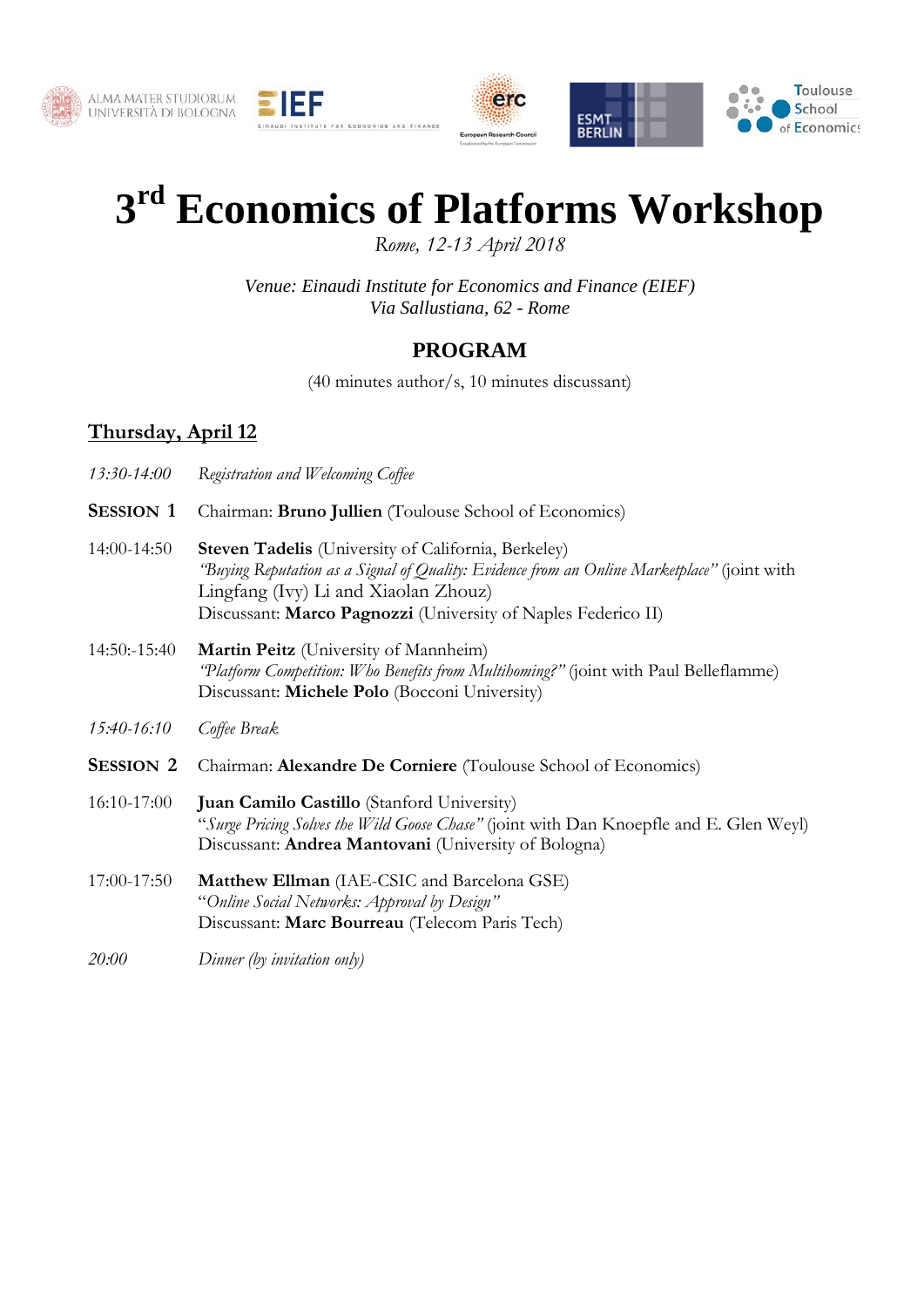





## **3rd Economics of Platforms Workshop**

*Rome, 12-13 April 2018*

*Venue: Einaudi Institute for Economics and Finance (EIEF) Via Sallustiana, 62 - Rome*

## **PROGRAM**

(40 minutes author/s, 10 minutes discussant)

## **Thursday, April 12**

- *13:30-14:00 Registration and Welcoming Coffee* **SESSION 1** Chairman: **Bruno Jullien** (Toulouse School of Economics) 14:00-14:50 **Steven Tadelis** (University of California, Berkeley) *"Buying Reputation as a Signal of Quality: Evidence from an Online Marketplace"* (joint with Lingfang (Ivy) Li and Xiaolan Zhouz) Discussant: **Marco Pagnozzi** (University of Naples Federico II) 14:50:-15:40 **Martin Peitz** (University of Mannheim) *"Platform Competition: Who Benefits from Multihoming?"* (joint with Paul Belleflamme) Discussant: **Michele Polo** (Bocconi University) *15:40-16:10 Coffee Break* **SESSION 2** Chairman: **Alexandre De Corniere** (Toulouse School of Economics) 16:10-17:00 **Juan Camilo Castillo** (Stanford University) "*Surge Pricing Solves the Wild Goose Chase"* (joint with Dan Knoepfle and E. Glen Weyl) Discussant: **Andrea Mantovani** (University of Bologna) 17:00-17:50 **Matthew Ellman** (IAE-CSIC and Barcelona GSE) "*Online Social Networks: Approval by Design"*
	- Discussant: **Marc Bourreau** (Telecom Paris Tech)
- *20:00 Dinner (by invitation only)*